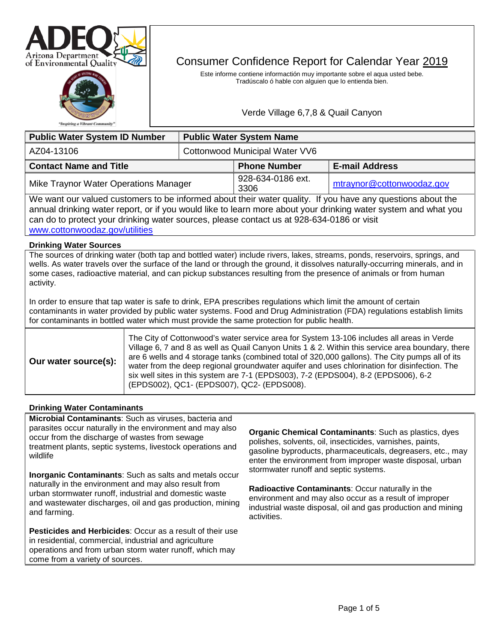



# Consumer Confidence Report for Calendar Year 2019

Este informe contiene informactión muy importante sobre el aqua usted bebe. Tradúscalo ó hable con alguien que lo entienda bien.

# Verde Village 6,7,8 & Quail Canyon

| <b>Public Water System ID Number</b>                                                                       |  | <b>Public Water System Name</b> |                           |  |  |
|------------------------------------------------------------------------------------------------------------|--|---------------------------------|---------------------------|--|--|
| AZ04-13106                                                                                                 |  | Cottonwood Municipal Water VV6  |                           |  |  |
| <b>Contact Name and Title</b>                                                                              |  | <b>Phone Number</b>             | <b>E-mail Address</b>     |  |  |
| Mike Traynor Water Operations Manager                                                                      |  | 928-634-0186 ext.<br>3306       | mtraynor@cottonwoodaz.gov |  |  |
| We want our valued customers to be informed about their water quality. If you have any questions about the |  |                                 |                           |  |  |

annual drinking water report, or if you would like to learn more about your drinking water system and what you can do to protect your drinking water sources, please contact us at 928-634-0186 or visit [www.cottonwoodaz.gov/utilities](http://www.cottonwoodaz.gov/utilities) 

## **Drinking Water Sources**

The sources of drinking water (both tap and bottled water) include rivers, lakes, streams, ponds, reservoirs, springs, and wells. As water travels over the surface of the land or through the ground, it dissolves naturally-occurring minerals, and in some cases, radioactive material, and can pickup substances resulting from the presence of animals or from human activity.

In order to ensure that tap water is safe to drink, EPA prescribes regulations which limit the amount of certain contaminants in water provided by public water systems. Food and Drug Administration (FDA) regulations establish limits for contaminants in bottled water which must provide the same protection for public health.

| Our water source(s): | The City of Cottonwood's water service area for System 13-106 includes all areas in Verde<br>Village 6, 7 and 8 as well as Quail Canyon Units 1 & 2. Within this service area boundary, there<br>are 6 wells and 4 storage tanks (combined total of 320,000 gallons). The City pumps all of its<br>water from the deep regional groundwater aquifer and uses chlorination for disinfection. The<br>six well sites in this system are 7-1 (EPDS003), 7-2 (EPDS004), 8-2 (EPDS006), 6-2<br>(EPDS002), QC1- (EPDS007), QC2- (EPDS008). |
|----------------------|-------------------------------------------------------------------------------------------------------------------------------------------------------------------------------------------------------------------------------------------------------------------------------------------------------------------------------------------------------------------------------------------------------------------------------------------------------------------------------------------------------------------------------------|
|----------------------|-------------------------------------------------------------------------------------------------------------------------------------------------------------------------------------------------------------------------------------------------------------------------------------------------------------------------------------------------------------------------------------------------------------------------------------------------------------------------------------------------------------------------------------|

## **Drinking Water Contaminants**

**Microbial Contaminants**: Such as viruses, bacteria and parasites occur naturally in the environment and may also occur from the discharge of wastes from sewage treatment plants, septic systems, livestock operations and wildlife

**Inorganic Contaminants**: Such as salts and metals occur naturally in the environment and may also result from urban stormwater runoff, industrial and domestic waste and wastewater discharges, oil and gas production, mining and farming.

**Pesticides and Herbicides**: Occur as a result of their use in residential, commercial, industrial and agriculture operations and from urban storm water runoff, which may come from a variety of sources.

**Organic Chemical Contaminants**: Such as plastics, dyes polishes, solvents, oil, insecticides, varnishes, paints, gasoline byproducts, pharmaceuticals, degreasers, etc., may enter the environment from improper waste disposal, urban stormwater runoff and septic systems.

**Radioactive Contaminants**: Occur naturally in the environment and may also occur as a result of improper industrial waste disposal, oil and gas production and mining activities.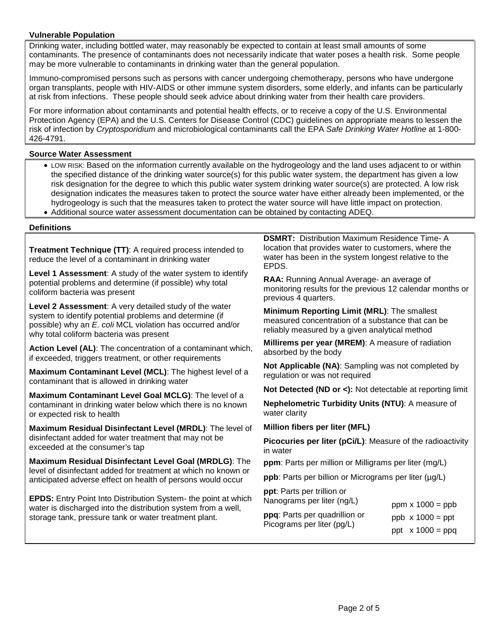# **Vulnerable Population**

Drinking water, including bottled water, may reasonably be expected to contain at least small amounts of some contaminants. The presence of contaminants does not necessarily indicate that water poses a health risk. Some people may be more vulnerable to contaminants in drinking water than the general population.

Immuno-compromised persons such as persons with cancer undergoing chemotherapy, persons who have undergone organ transplants, people with HIV-AIDS or other immune system disorders, some elderly, and infants can be particularly at risk from infections. These people should seek advice about drinking water from their health care providers.

For more information about contaminants and potential health effects, or to receive a copy of the U.S. Environmental Protection Agency (EPA) and the U.S. Centers for Disease Control (CDC) guidelines on appropriate means to lessen the risk of infection by *Cryptosporidium* and microbiological contaminants call the EPA *Safe Drinking Water Hotline* at 1-800- 426-4791.

# **Source Water Assessment**

- LOW RISK: Based on the information currently available on the hydrogeology and the land uses adjacent to or within the specified distance of the drinking water source(s) for this public water system, the department has given a low risk designation for the degree to which this public water system drinking water source(s) are protected. A low risk designation indicates the measures taken to protect the source water have either already been implemented, or the hydrogeology is such that the measures taken to protect the water source will have little impact on protection.
- Additional source water assessment documentation can be obtained by contacting ADEQ.

# **Definitions**

**Treatment Technique (TT)**: A required process intended to reduce the level of a contaminant in drinking water

**Level 1 Assessment**: A study of the water system to identify potential problems and determine (if possible) why total coliform bacteria was present

**Level 2 Assessment**: A very detailed study of the water system to identify potential problems and determine (if possible) why an *E. coli* MCL violation has occurred and/or why total coliform bacteria was present

**Action Level (AL)**: The concentration of a contaminant which, if exceeded, triggers treatment, or other requirements

**Maximum Contaminant Level (MCL)**: The highest level of a contaminant that is allowed in drinking water

**Maximum Contaminant Level Goal MCLG)**: The level of a contaminant in drinking water below which there is no known or expected risk to health

**Maximum Residual Disinfectant Level (MRDL)**: The level of disinfectant added for water treatment that may not be exceeded at the consumer's tap

**Maximum Residual Disinfectant Level Goal (MRDLG)**: The level of disinfectant added for treatment at which no known or anticipated adverse effect on health of persons would occur

**EPDS:** Entry Point Into Distribution System- the point at which water is discharged into the distribution system from a well, storage tank, pressure tank or water treatment plant.

**DSMRT:** Distribution Maximum Residence Time- A location that provides water to customers, where the water has been in the system longest relative to the EPDS.

**RAA:** Running Annual Average- an average of monitoring results for the previous 12 calendar months or previous 4 quarters.

**Minimum Reporting Limit (MRL)**: The smallest measured concentration of a substance that can be reliably measured by a given analytical method

**Millirems per year (MREM)**: A measure of radiation absorbed by the body

**Not Applicable (NA)**: Sampling was not completed by regulation or was not required

**Not Detected (ND or <):** Not detectable at reporting limit

**Nephelometric Turbidity Units (NTU)**: A measure of water clarity

## **Million fibers per liter (MFL)**

**Picocuries per liter (pCi/L)**: Measure of the radioactivity in water

**ppm**: Parts per million or Milligrams per liter (mg/L)

**ppb**: Parts per billion or Micrograms per liter ( $\mu$ g/L)

| ppt: Parts per trillion or    |                         |
|-------------------------------|-------------------------|
| Nanograms per liter (ng/L)    | ppm $x 1000 = ppb$      |
| ppq: Parts per quadrillion or | $ppb \times 1000 = ppt$ |
| Picograms per liter (pg/L)    | ppt $x 1000 = ppq$      |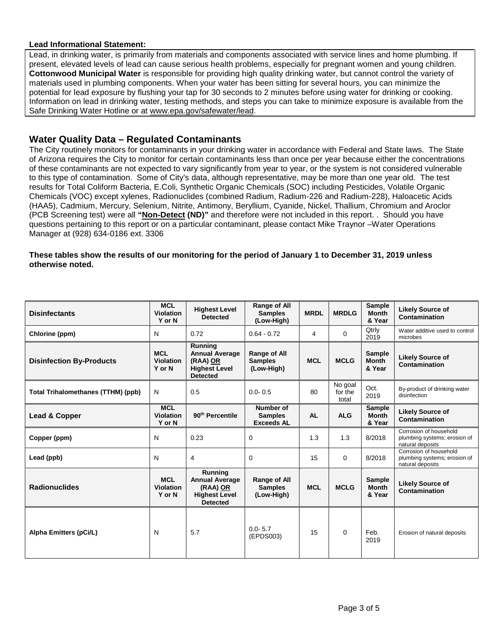## **Lead Informational Statement:**

Lead, in drinking water, is primarily from materials and components associated with service lines and home plumbing. If present, elevated levels of lead can cause serious health problems, especially for pregnant women and young children. **Cottonwood Municipal Water** is responsible for providing high quality drinking water, but cannot control the variety of materials used in plumbing components. When your water has been sitting for several hours, you can minimize the potential for lead exposure by flushing your tap for 30 seconds to 2 minutes before using water for drinking or cooking. Information on lead in drinking water, testing methods, and steps you can take to minimize exposure is available from the Safe Drinking Water Hotline or at [www.epa.gov/safewater/lead.](http://www.epa.gov/safewater/lead)

# **Water Quality Data – Regulated Contaminants**

The City routinely monitors for contaminants in your drinking water in accordance with Federal and State laws. The State of Arizona requires the City to monitor for certain contaminants less than once per year because either the concentrations of these contaminants are not expected to vary significantly from year to year, or the system is not considered vulnerable to this type of contamination. Some of City's data, although representative, may be more than one year old. The test results for Total Coliform Bacteria, E.Coli, Synthetic Organic Chemicals (SOC) including Pesticides, Volatile Organic Chemicals (VOC) except xylenes, Radionuclides (combined Radium, Radium-226 and Radium-228), Haloacetic Acids (HAA5), Cadmium, Mercury, Selenium, Nitrite, Antimony, Beryllium, Cyanide, Nickel, Thallium, Chromium and Aroclor (PCB Screening test) were all **"Non-Detect (ND)"** and therefore were not included in this report. . Should you have questions pertaining to this report or on a particular contaminant, please contact Mike Traynor –Water Operations Manager at (928) 634-0186 ext. 3306

# **These tables show the results of our monitoring for the period of January 1 to December 31, 2019 unless otherwise noted.**

| <b>Disinfectants</b>               | <b>MCL</b><br><b>Violation</b><br>Y or N | <b>Highest Level</b><br><b>Detected</b>                                                 | Range of All<br><b>Samples</b><br>(Low-High)        | <b>MRDL</b> | <b>MRDLG</b>                | <b>Sample</b><br><b>Month</b><br>& Year | <b>Likely Source of</b><br>Contamination                                   |
|------------------------------------|------------------------------------------|-----------------------------------------------------------------------------------------|-----------------------------------------------------|-------------|-----------------------------|-----------------------------------------|----------------------------------------------------------------------------|
| Chlorine (ppm)                     | N                                        | 0.72                                                                                    | $0.64 - 0.72$                                       | 4           | $\Omega$                    | Qtrly<br>2019                           | Water additive used to control<br>microbes                                 |
| <b>Disinfection By-Products</b>    | <b>MCL</b><br>Violation<br>Y or N        | Running<br><b>Annual Average</b><br>(RAA) OR<br><b>Highest Level</b><br><b>Detected</b> | <b>Range of All</b><br><b>Samples</b><br>(Low-High) | <b>MCL</b>  | <b>MCLG</b>                 | <b>Sample</b><br><b>Month</b><br>& Year | <b>Likely Source of</b><br>Contamination                                   |
| Total Trihalomethanes (TTHM) (ppb) | N                                        | 0.5                                                                                     | $0.0 - 0.5$                                         | 80          | No goal<br>for the<br>total | Oct.<br>2019                            | By-product of drinking water<br>disinfection                               |
| <b>Lead &amp; Copper</b>           | <b>MCL</b><br><b>Violation</b><br>Y or N | 90 <sup>th</sup> Percentile                                                             | Number of<br><b>Samples</b><br><b>Exceeds AL</b>    | <b>AL</b>   | <b>ALG</b>                  | <b>Sample</b><br><b>Month</b><br>& Year | <b>Likely Source of</b><br><b>Contamination</b>                            |
| Copper (ppm)                       | N                                        | 0.23                                                                                    | 0                                                   | 1.3         | 1.3                         | 8/2018                                  | Corrosion of household<br>plumbing systems; erosion of<br>natural deposits |
| Lead (ppb)                         | N                                        | 4                                                                                       | $\Omega$                                            | 15          | $\Omega$                    | 8/2018                                  | Corrosion of household<br>plumbing systems; erosion of<br>natural deposits |
| <b>Radionuclides</b>               | <b>MCL</b><br><b>Violation</b><br>Y or N | Running<br><b>Annual Average</b><br>(RAA) OR<br><b>Highest Level</b><br><b>Detected</b> | Range of All<br><b>Samples</b><br>(Low-High)        | <b>MCL</b>  | <b>MCLG</b>                 | <b>Sample</b><br><b>Month</b><br>& Year | <b>Likely Source of</b><br>Contamination                                   |
| Alpha Emitters (pCi/L)             | N                                        | 5.7                                                                                     | $0.0 - 5.7$<br>(EPDS003)                            | 15          | $\Omega$                    | Feb.<br>2019                            | Erosion of natural deposits                                                |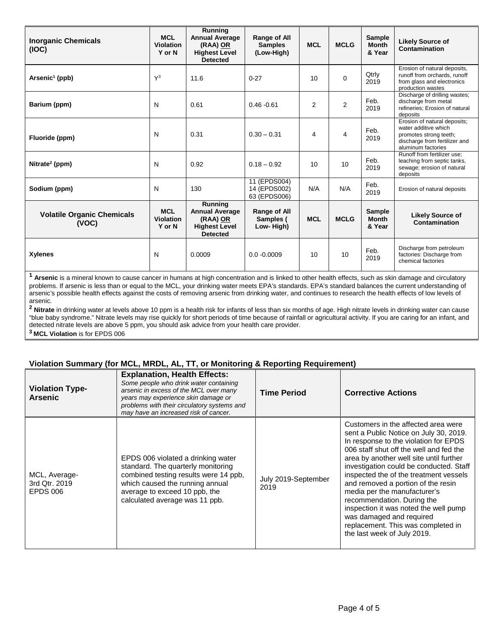| <b>Inorganic Chemicals</b><br>(IOC)        | <b>MCL</b><br><b>Violation</b><br>Y or N | Running<br><b>Annual Average</b><br>(RAA) OR<br><b>Highest Level</b><br><b>Detected</b> | Range of All<br><b>Samples</b><br>(Low-High) | <b>MCL</b>     | <b>MCLG</b>    | <b>Sample</b><br><b>Month</b><br>& Year | <b>Likely Source of</b><br><b>Contamination</b>                                                                                       |
|--------------------------------------------|------------------------------------------|-----------------------------------------------------------------------------------------|----------------------------------------------|----------------|----------------|-----------------------------------------|---------------------------------------------------------------------------------------------------------------------------------------|
| Arsenic <sup>1</sup> (ppb)                 | $\mathsf{Y}^3$                           | 11.6                                                                                    | $0 - 27$                                     | 10             | $\Omega$       | Qtrly<br>2019                           | Erosion of natural deposits,<br>runoff from orchards, runoff<br>from glass and electronics<br>production wastes                       |
| Barium (ppm)                               | N                                        | 0.61                                                                                    | $0.46 - 0.61$                                | $\overline{2}$ | $\overline{2}$ | Feb.<br>2019                            | Discharge of drilling wastes;<br>discharge from metal<br>refineries: Erosion of natural<br>deposits                                   |
| Fluoride (ppm)                             | N                                        | 0.31                                                                                    | $0.30 - 0.31$                                | 4              | 4              | Feb.<br>2019                            | Erosion of natural deposits;<br>water additive which<br>promotes strong teeth;<br>discharge from fertilizer and<br>aluminum factories |
| Nitrate <sup>2</sup> (ppm)                 | N                                        | 0.92                                                                                    | $0.18 - 0.92$                                | 10             | 10             | Feb.<br>2019                            | Runoff from fertilizer use:<br>leaching from septic tanks,<br>sewage; erosion of natural<br>deposits                                  |
| Sodium (ppm)                               | N                                        | 130                                                                                     | 11 (EPDS004)<br>14 (EPDS002)<br>63 (EPDS006) | N/A            | N/A            | Feb.<br>2019                            | Erosion of natural deposits                                                                                                           |
| <b>Volatile Organic Chemicals</b><br>(VOC) | <b>MCL</b><br><b>Violation</b><br>Y or N | Running<br><b>Annual Average</b><br>(RAA) OR<br><b>Highest Level</b><br><b>Detected</b> | Range of All<br>Samples (<br>Low-High)       | <b>MCL</b>     | <b>MCLG</b>    | <b>Sample</b><br><b>Month</b><br>& Year | <b>Likely Source of</b><br>Contamination                                                                                              |
| <b>Xylenes</b>                             | N                                        | 0.0009                                                                                  | $0.0 - 0.0009$                               | 10             | 10             | Feb.<br>2019                            | Discharge from petroleum<br>factories: Discharge from<br>chemical factories                                                           |

**<sup>1</sup> Arsenic** is a mineral known to cause cancer in humans at high concentration and is linked to other health effects, such as skin damage and circulatory problems. If arsenic is less than or equal to the MCL, your drinking water meets EPA's standards. EPA's standard balances the current understanding of arsenic's possible health effects against the costs of removing arsenic from drinking water, and continues to research the health effects of low levels of arsenic.

<sup>2</sup> Nitrate in drinking water at levels above 10 ppm is a health risk for infants of less than six months of age. High nitrate levels in drinking water can cause "blue baby syndrome." Nitrate levels may rise quickly for short periods of time because of rainfall or agricultural activity. If you are caring for an infant, and detected nitrate levels are above 5 ppm, you should ask advice from your health care provider. **3 MCL Violation** is for EPDS 006

# **Violation Summary (for MCL, MRDL, AL, TT, or Monitoring & Reporting Requirement)**

| <b>Violation Type-</b><br><b>Arsenic</b>          | <b>Explanation, Health Effects:</b><br>Some people who drink water containing<br>arsenic in excess of the MCL over many<br>years may experience skin damage or<br>problems with their circulatory systems and<br>may have an increased risk of cancer. | <b>Time Period</b>          | <b>Corrective Actions</b>                                                                                                                                                                                                                                                                                                                                                                                                                                                                                                                       |
|---------------------------------------------------|--------------------------------------------------------------------------------------------------------------------------------------------------------------------------------------------------------------------------------------------------------|-----------------------------|-------------------------------------------------------------------------------------------------------------------------------------------------------------------------------------------------------------------------------------------------------------------------------------------------------------------------------------------------------------------------------------------------------------------------------------------------------------------------------------------------------------------------------------------------|
| MCL, Average-<br>3rd Qtr. 2019<br><b>EPDS 006</b> | EPDS 006 violated a drinking water<br>standard. The quarterly monitoring<br>combined testing results were 14 ppb,<br>which caused the running annual<br>average to exceed 10 ppb, the<br>calculated average was 11 ppb.                                | July 2019-September<br>2019 | Customers in the affected area were<br>sent a Public Notice on July 30, 2019.<br>In response to the violation for EPDS<br>006 staff shut off the well and fed the<br>area by another well site until further<br>investigation could be conducted. Staff<br>inspected the of the treatment vessels<br>and removed a portion of the resin<br>media per the manufacturer's<br>recommendation. During the<br>inspection it was noted the well pump<br>was damaged and required<br>replacement. This was completed in<br>the last week of July 2019. |